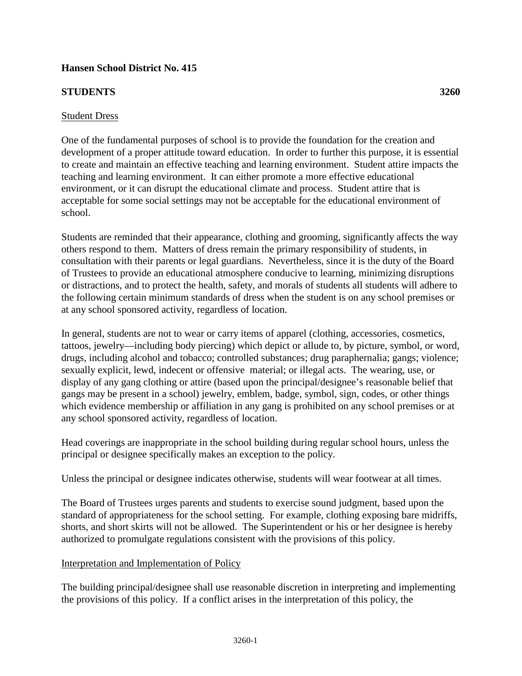# **Hansen School District No. 415**

## **STUDENTS 3260**

#### Student Dress

One of the fundamental purposes of school is to provide the foundation for the creation and development of a proper attitude toward education. In order to further this purpose, it is essential to create and maintain an effective teaching and learning environment. Student attire impacts the teaching and learning environment. It can either promote a more effective educational environment, or it can disrupt the educational climate and process. Student attire that is acceptable for some social settings may not be acceptable for the educational environment of school.

Students are reminded that their appearance, clothing and grooming, significantly affects the way others respond to them. Matters of dress remain the primary responsibility of students, in consultation with their parents or legal guardians. Nevertheless, since it is the duty of the Board of Trustees to provide an educational atmosphere conducive to learning, minimizing disruptions or distractions, and to protect the health, safety, and morals of students all students will adhere to the following certain minimum standards of dress when the student is on any school premises or at any school sponsored activity, regardless of location.

In general, students are not to wear or carry items of apparel (clothing, accessories, cosmetics, tattoos, jewelry—including body piercing) which depict or allude to, by picture, symbol, or word, drugs, including alcohol and tobacco; controlled substances; drug paraphernalia; gangs; violence; sexually explicit, lewd, indecent or offensive material; or illegal acts. The wearing, use, or display of any gang clothing or attire (based upon the principal/designee's reasonable belief that gangs may be present in a school) jewelry, emblem, badge, symbol, sign, codes, or other things which evidence membership or affiliation in any gang is prohibited on any school premises or at any school sponsored activity, regardless of location.

Head coverings are inappropriate in the school building during regular school hours, unless the principal or designee specifically makes an exception to the policy.

Unless the principal or designee indicates otherwise, students will wear footwear at all times.

The Board of Trustees urges parents and students to exercise sound judgment, based upon the standard of appropriateness for the school setting. For example, clothing exposing bare midriffs, shorts, and short skirts will not be allowed. The Superintendent or his or her designee is hereby authorized to promulgate regulations consistent with the provisions of this policy.

## Interpretation and Implementation of Policy

The building principal/designee shall use reasonable discretion in interpreting and implementing the provisions of this policy. If a conflict arises in the interpretation of this policy, the